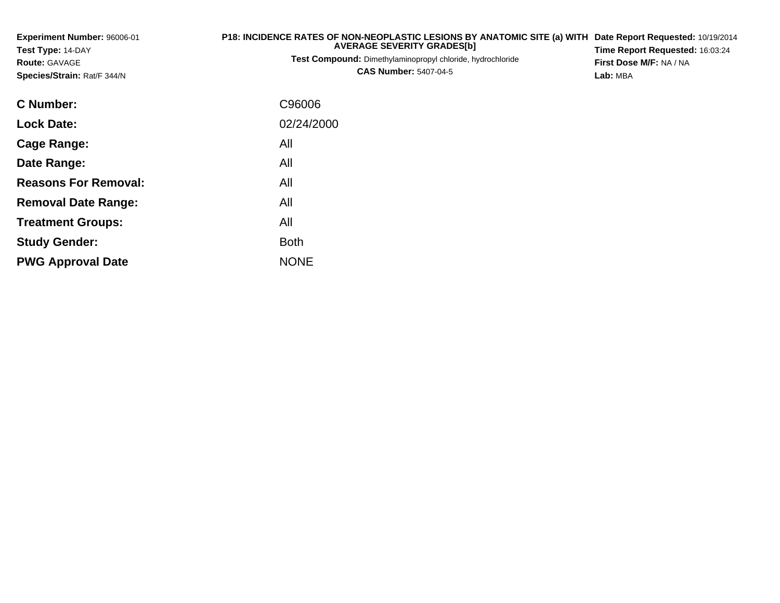| Experiment Number: 96006-01<br>Test Type: 14-DAY<br><b>Route: GAVAGE</b><br>Species/Strain: Rat/F 344/N | P18: INCIDENCE RATES OF NON-NEOPLASTIC LESIONS BY ANATOMIC SITE (a) WITH<br><b>AVERAGE SEVERITY GRADES[b]</b><br><b>Test Compound:</b> Dimethylaminopropyl chloride, hydrochloride<br><b>CAS Number: 5407-04-5</b> | Date Report Requested: 10/19/2014<br>Time Report Requested: 16:03:24<br>First Dose M/F: NA / NA<br>Lab: MBA |
|---------------------------------------------------------------------------------------------------------|--------------------------------------------------------------------------------------------------------------------------------------------------------------------------------------------------------------------|-------------------------------------------------------------------------------------------------------------|
| C Number:                                                                                               | C96006                                                                                                                                                                                                             |                                                                                                             |
| <b>Lock Date:</b>                                                                                       | 02/24/2000                                                                                                                                                                                                         |                                                                                                             |
| <b>Cage Range:</b>                                                                                      | All                                                                                                                                                                                                                |                                                                                                             |
| Date Range:                                                                                             | All                                                                                                                                                                                                                |                                                                                                             |
| <b>Reasons For Removal:</b>                                                                             | All                                                                                                                                                                                                                |                                                                                                             |
| <b>Removal Date Range:</b>                                                                              | All                                                                                                                                                                                                                |                                                                                                             |
| <b>Treatment Groups:</b>                                                                                | All                                                                                                                                                                                                                |                                                                                                             |
| <b>Study Gender:</b>                                                                                    | <b>Both</b>                                                                                                                                                                                                        |                                                                                                             |

e NONE

**PWG Approval Date**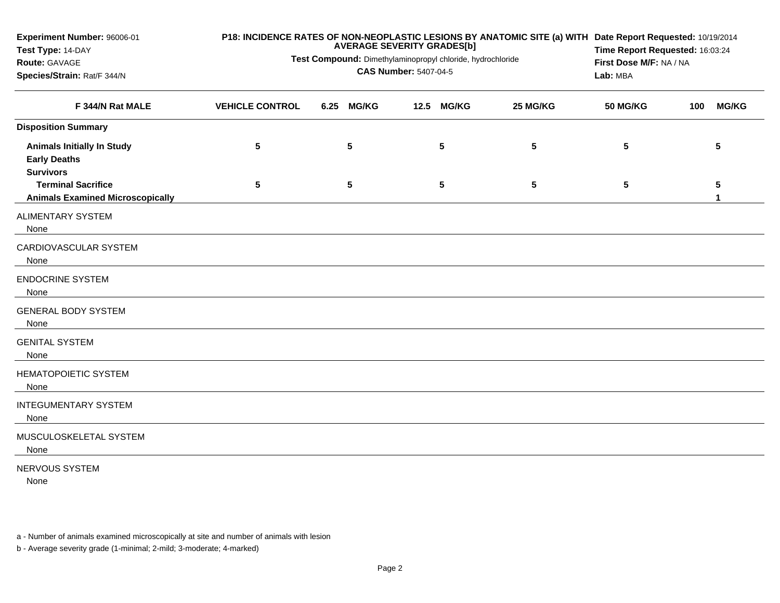| Experiment Number: 96006-01<br>Test Type: 14-DAY<br>Route: GAVAGE<br>Species/Strain: Rat/F 344/N          | Test Compound: Dimethylaminopropyl chloride, hydrochloride | P18: INCIDENCE RATES OF NON-NEOPLASTIC LESIONS BY ANATOMIC SITE (a) WITH Date Report Requested: 10/19/2014<br>Time Report Requested: 16:03:24<br>First Dose M/F: NA / NA<br>Lab: MBA |                      |          |                 |     |              |
|-----------------------------------------------------------------------------------------------------------|------------------------------------------------------------|--------------------------------------------------------------------------------------------------------------------------------------------------------------------------------------|----------------------|----------|-----------------|-----|--------------|
| F 344/N Rat MALE                                                                                          | <b>VEHICLE CONTROL</b>                                     | <b>MG/KG</b><br>6.25                                                                                                                                                                 | 12.5<br><b>MG/KG</b> | 25 MG/KG | <b>50 MG/KG</b> | 100 | <b>MG/KG</b> |
| <b>Disposition Summary</b>                                                                                |                                                            |                                                                                                                                                                                      |                      |          |                 |     |              |
| <b>Animals Initially In Study</b><br><b>Early Deaths</b><br><b>Survivors</b><br><b>Terminal Sacrifice</b> | 5<br>$5\phantom{.0}$                                       | 5<br>$5\phantom{.0}$                                                                                                                                                                 | 5<br>5               | 5<br>5   | 5<br>5          |     | 5<br>5       |
| <b>Animals Examined Microscopically</b>                                                                   |                                                            |                                                                                                                                                                                      |                      |          |                 |     | 1            |
| ALIMENTARY SYSTEM<br>None                                                                                 |                                                            |                                                                                                                                                                                      |                      |          |                 |     |              |
| CARDIOVASCULAR SYSTEM<br>None                                                                             |                                                            |                                                                                                                                                                                      |                      |          |                 |     |              |
| <b>ENDOCRINE SYSTEM</b><br>None                                                                           |                                                            |                                                                                                                                                                                      |                      |          |                 |     |              |
| <b>GENERAL BODY SYSTEM</b><br>None                                                                        |                                                            |                                                                                                                                                                                      |                      |          |                 |     |              |
| <b>GENITAL SYSTEM</b><br>None                                                                             |                                                            |                                                                                                                                                                                      |                      |          |                 |     |              |
| HEMATOPOIETIC SYSTEM<br>None                                                                              |                                                            |                                                                                                                                                                                      |                      |          |                 |     |              |
| <b>INTEGUMENTARY SYSTEM</b><br>None                                                                       |                                                            |                                                                                                                                                                                      |                      |          |                 |     |              |
| MUSCULOSKELETAL SYSTEM<br>None                                                                            |                                                            |                                                                                                                                                                                      |                      |          |                 |     |              |
| NERVOUS SYSTEM                                                                                            |                                                            |                                                                                                                                                                                      |                      |          |                 |     |              |

None

a - Number of animals examined microscopically at site and number of animals with lesion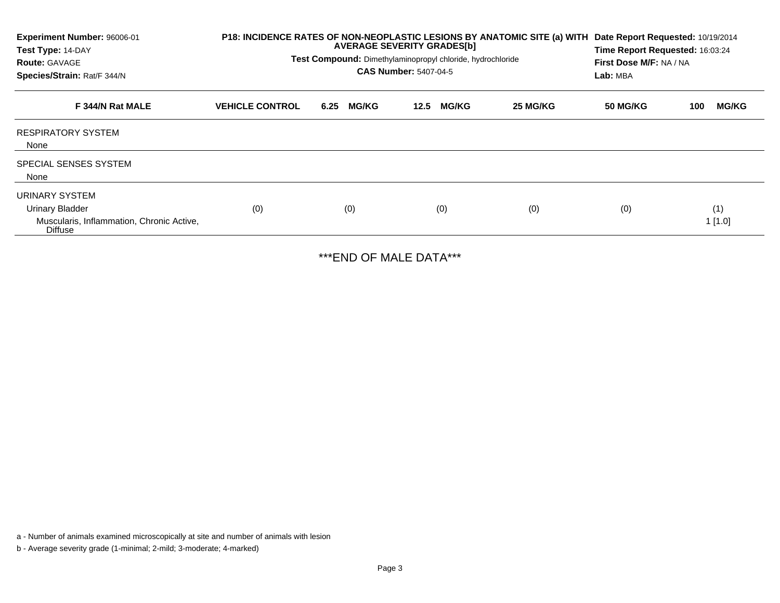| Experiment Number: 96006-01<br>Test Type: 14-DAY<br><b>Route: GAVAGE</b><br>Species/Strain: Rat/F 344/N | P18: INCIDENCE RATES OF NON-NEOPLASTIC LESIONS BY ANATOMIC SITE (a) WITH | <b>AVERAGE SEVERITY GRADES[b]</b><br>Test Compound: Dimethylaminopropyl chloride, hydrochloride<br><b>CAS Number: 5407-04-5</b> | Date Report Requested: 10/19/2014<br>Time Report Requested: 16:03:24<br>First Dose M/F: NA / NA<br>Lab: MBA |          |                        |               |
|---------------------------------------------------------------------------------------------------------|--------------------------------------------------------------------------|---------------------------------------------------------------------------------------------------------------------------------|-------------------------------------------------------------------------------------------------------------|----------|------------------------|---------------|
| F 344/N Rat MALE                                                                                        | <b>VEHICLE CONTROL</b>                                                   | <b>MG/KG</b><br>6.25                                                                                                            | <b>MG/KG</b><br>12.5                                                                                        | 25 MG/KG | <b>50 MG/KG</b><br>100 | <b>MG/KG</b>  |
| <b>RESPIRATORY SYSTEM</b><br>None                                                                       |                                                                          |                                                                                                                                 |                                                                                                             |          |                        |               |
| <b>SPECIAL SENSES SYSTEM</b><br>None                                                                    |                                                                          |                                                                                                                                 |                                                                                                             |          |                        |               |
| URINARY SYSTEM<br><b>Urinary Bladder</b><br>Muscularis, Inflammation, Chronic Active,<br><b>Diffuse</b> | (0)                                                                      | (0)                                                                                                                             | (0)                                                                                                         | (0)      | (0)                    | (1)<br>1[1.0] |

\*\*\*END OF MALE DATA\*\*\*

a - Number of animals examined microscopically at site and number of animals with lesion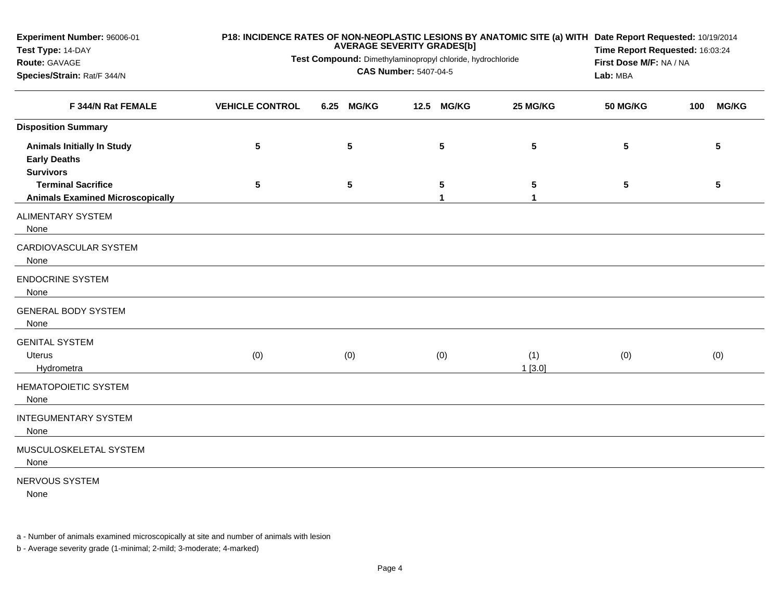| Experiment Number: 96006-01<br>Test Type: 14-DAY                             | P18: INCIDENCE RATES OF NON-NEOPLASTIC LESIONS BY ANATOMIC SITE (a) WITH Date Report Requested: 10/19/2014<br><b>AVERAGE SEVERITY GRADES[b]</b> |                 |                         |                                         |                 | Time Report Requested: 16:03:24 |  |  |
|------------------------------------------------------------------------------|-------------------------------------------------------------------------------------------------------------------------------------------------|-----------------|-------------------------|-----------------------------------------|-----------------|---------------------------------|--|--|
| Route: GAVAGE<br>Species/Strain: Rat/F 344/N                                 | Test Compound: Dimethylaminopropyl chloride, hydrochloride                                                                                      | Lab: MBA        | First Dose M/F: NA / NA |                                         |                 |                                 |  |  |
| F 344/N Rat FEMALE                                                           | <b>VEHICLE CONTROL</b>                                                                                                                          | 6.25 MG/KG      | 12.5 MG/KG              | 25 MG/KG                                | <b>50 MG/KG</b> | <b>MG/KG</b><br>100             |  |  |
| <b>Disposition Summary</b>                                                   |                                                                                                                                                 |                 |                         |                                         |                 |                                 |  |  |
| <b>Animals Initially In Study</b><br><b>Early Deaths</b><br><b>Survivors</b> | $\sqrt{5}$                                                                                                                                      | $5\phantom{.0}$ | 5                       | $5\phantom{.0}$                         | 5               | 5                               |  |  |
| <b>Terminal Sacrifice</b><br><b>Animals Examined Microscopically</b>         | $\sqrt{5}$                                                                                                                                      | $5\phantom{.0}$ | 5<br>$\mathbf{1}$       | $5\phantom{.0}$<br>$\blacktriangleleft$ | $5\phantom{.0}$ | 5                               |  |  |
| <b>ALIMENTARY SYSTEM</b><br>None                                             |                                                                                                                                                 |                 |                         |                                         |                 |                                 |  |  |
| CARDIOVASCULAR SYSTEM<br>None                                                |                                                                                                                                                 |                 |                         |                                         |                 |                                 |  |  |
| <b>ENDOCRINE SYSTEM</b><br>None                                              |                                                                                                                                                 |                 |                         |                                         |                 |                                 |  |  |
| <b>GENERAL BODY SYSTEM</b><br>None                                           |                                                                                                                                                 |                 |                         |                                         |                 |                                 |  |  |
| <b>GENITAL SYSTEM</b><br><b>Uterus</b><br>Hydrometra                         | (0)                                                                                                                                             | (0)             | (0)                     | (1)<br>1[3.0]                           | (0)             | (0)                             |  |  |
| <b>HEMATOPOIETIC SYSTEM</b><br>None                                          |                                                                                                                                                 |                 |                         |                                         |                 |                                 |  |  |
| <b>INTEGUMENTARY SYSTEM</b><br>None                                          |                                                                                                                                                 |                 |                         |                                         |                 |                                 |  |  |
| MUSCULOSKELETAL SYSTEM<br>None                                               |                                                                                                                                                 |                 |                         |                                         |                 |                                 |  |  |
| NERVOUS SYSTEM<br>None                                                       |                                                                                                                                                 |                 |                         |                                         |                 |                                 |  |  |

a - Number of animals examined microscopically at site and number of animals with lesion